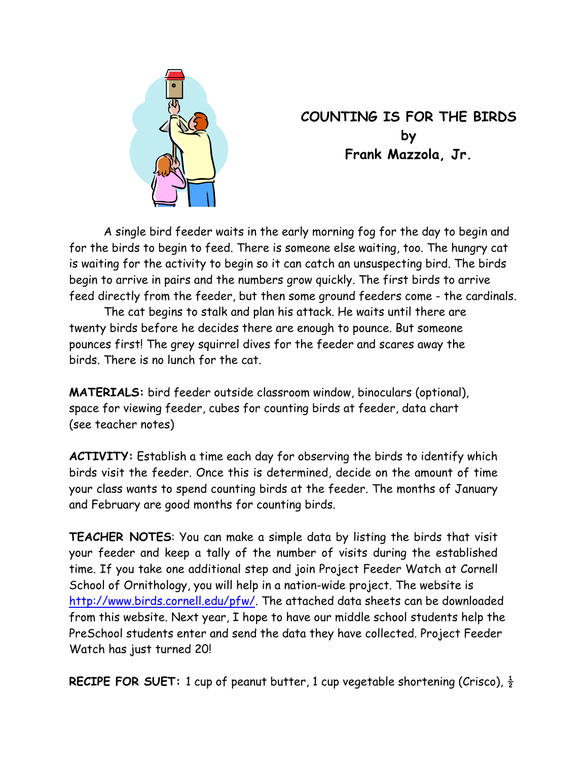

# **COUNTING IS FOR THE BIRDS by Frank Mazzola, Jr.**

 A single bird feeder waits in the early morning fog for the day to begin and for the birds to begin to feed. There is someone else waiting, too. The hungry cat is waiting for the activity to begin so it can catch an unsuspecting bird. The birds begin to arrive in pairs and the numbers grow quickly. The first birds to arrive feed directly from the feeder, but then some ground feeders come - the cardinals.

 The cat begins to stalk and plan his attack. He waits until there are twenty birds before he decides there are enough to pounce. But someone pounces first! The grey squirrel dives for the feeder and scares away the birds. There is no lunch for the cat.

**MATERIALS:** bird feeder outside classroom window, binoculars (optional), space for viewing feeder, cubes for counting birds at feeder, data chart (see teacher notes)

**ACTIVITY:** Establish a time each day for observing the birds to identify which birds visit the feeder. Once this is determined, decide on the amount of time your class wants to spend counting birds at the feeder. The months of January and February are good months for counting birds.

**TEACHER NOTES**: You can make a simple data by listing the birds that visit your feeder and keep a tally of the number of visits during the established time. If you take one additional step and join Project Feeder Watch at Cornell School of Ornithology, you will help in a nation-wide project. The website is http://www.birds.cornell.edu/pfw/. The attached data sheets can be downloaded from this website. Next year, I hope to have our middle school students help the PreSchool students enter and send the data they have collected. Project Feeder Watch has just turned 20!

**RECIPE FOR SUET:** 1 cup of peanut butter, 1 cup vegetable shortening (Crisco),  $\frac{1}{2}$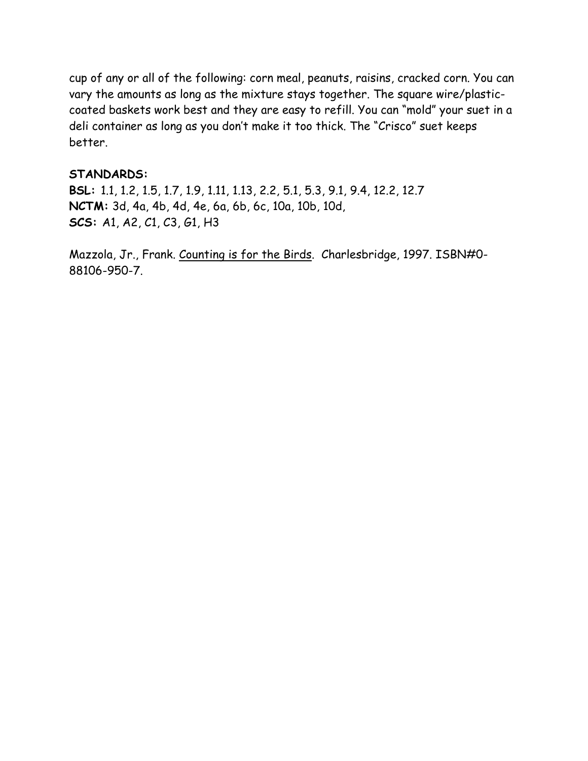cup of any or all of the following: corn meal, peanuts, raisins, cracked corn. You can vary the amounts as long as the mixture stays together. The square wire/plasticcoated baskets work best and they are easy to refill. You can "mold" your suet in a deli container as long as you don't make it too thick. The "Crisco" suet keeps better.

### **STANDARDS:**

**BSL:** 1.1, 1.2, 1.5, 1.7, 1.9, 1.11, 1.13, 2.2, 5.1, 5.3, 9.1, 9.4, 12.2, 12.7 **NCTM:** 3d, 4a, 4b, 4d, 4e, 6a, 6b, 6c, 10a, 10b, 10d, **SCS:** A1, A2, C1, C3, G1, H3

Mazzola, Jr., Frank. Counting is for the Birds. Charlesbridge, 1997. ISBN#0- 88106-950-7.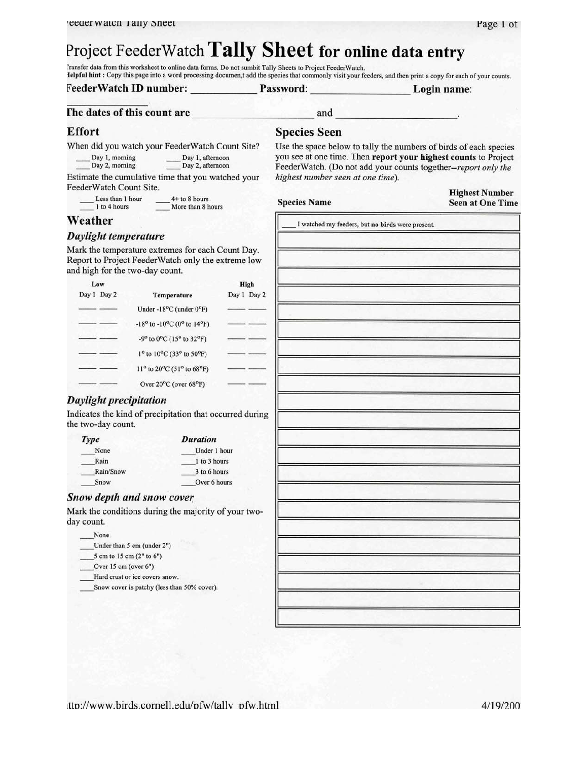# Project FeederWatch Tally Sheet for online data entry

Transfer data from this worksheet to online data forms. Do not sumbit Tally Sheets to Project FeederWatch. Ielpful hint : Copy this page into a word processing documen,t add the species that commonly visit your feeders, and then print a copy for each of your counts.

### FeederWatch ID number:

Password:

Login name:

### The dates of this count are

### **Effort**

When did you watch your FeederWatch Count Site?

Day 1, afternoon<br>Day 2, afternoon Day 1, morning Day 2, morning

Estimate the cumulative time that you watched your FeederWatch Count Site.

Less than 1 hour  $4+$  to  $8$  hours  $1$  to 4 hours More than 8 hours

**Species Seen** 

and

Use the space below to tally the numbers of birds of each species you see at one time. Then report your highest counts to Project FeederWatch. (Do not add your counts together--report only the highest number seen at one time).

**Species Name** 

**Highest Number Seen at One Time** 

I watched my feeders, but no birds were present.

## Weather

### Daylight temperature

Mark the temperature extremes for each Count Day. Report to Project FeederWatch only the extreme low and high for the two-day count.

| Low         |                                                                          | High        |  |
|-------------|--------------------------------------------------------------------------|-------------|--|
| Day 1 Day 2 | Temperature                                                              | Day 1 Day 2 |  |
|             | Under -18 $^{\circ}$ C (under 0 $^{\circ}$ F)                            |             |  |
|             | $-18^{\circ}$ to $-10^{\circ}$ C (0° to 14°F)                            |             |  |
|             | $-9^{\circ}$ to $0^{\circ}$ C (15 <sup>o</sup> to 32 <sup>o</sup> F)     |             |  |
|             | $1^{\circ}$ to $10^{\circ}$ C (33° to 50°F)                              |             |  |
|             | $11^{\circ}$ to 20 <sup>o</sup> C (51 <sup>o</sup> to 68 <sup>o</sup> F) |             |  |
|             | Over $20^{\circ}$ C (over $68^{\circ}$ F)                                |             |  |

### **Daylight precipitation**

Indicates the kind of precipitation that occurred during the two-day count.

| Type      | <b>Duration</b> |
|-----------|-----------------|
| None      | Under 1 hour    |
| Rain      | 1 to 3 hours    |
| Rain/Snow | 3 to 6 hours    |
| Snow      | Over 6 hours    |

### Snow depth and snow cover

Mark the conditions during the majority of your twoday count.

- None
- Under than 5 cm (under 2")
- 5 cm to 15 cm (2" to 6")
- Over 15 cm (over 6")
- Hard crust or ice covers snow.
- Snow cover is patchy (less than 50% cover).